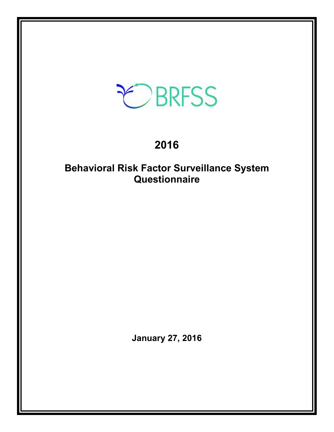# EBRFSS

# **2016**

# **Behavioral Risk Factor Surveillance System Questionnaire**

**January 27, 2016**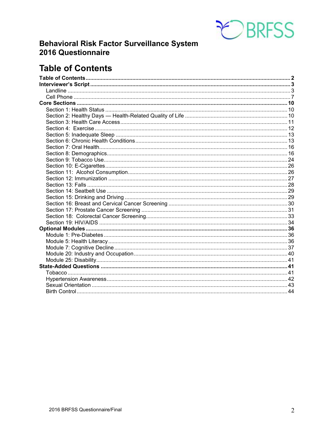

## **Behavioral Risk Factor Surveillance System** 2016 Questionnaire

# <span id="page-1-0"></span>**Table of Contents**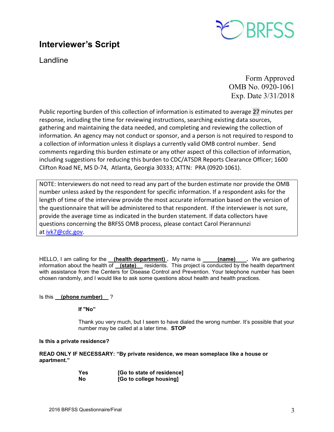# <span id="page-2-0"></span>**Interviewer's Script**



<span id="page-2-1"></span>Landline

Form Approved OMB No. 0920-1061 Exp. Date 3/31/2018

Public reporting burden of this collection of information is estimated to average 27 minutes per response, including the time for reviewing instructions, searching existing data sources, gathering and maintaining the data needed, and completing and reviewing the collection of information. An agency may not conduct or sponsor, and a person is not required to respond to a collection of information unless it displays a currently valid OMB control number. Send comments regarding this burden estimate or any other aspect of this collection of information, including suggestions for reducing this burden to CDC/ATSDR Reports Clearance Officer; 1600 Clifton Road NE, MS D-74, Atlanta, Georgia 30333; ATTN: PRA (0920-1061).

NOTE: Interviewers do not need to read any part of the burden estimate nor provide the OMB number unless asked by the respondent for specific information. If a respondent asks for the length of time of the interview provide the most accurate information based on the version of the questionnaire that will be administered to that respondent. If the interviewer is not sure, provide the average time as indicated in the burden statement. If data collectors have questions concerning the BRFSS OMB process, please contact Carol Pierannunzi at [ivk7@cdc.gov.](mailto:ivk7@cdc.gov)

HELLO, I am calling for the **(health department)**. My name is **(name)** Ne are gathering information about the health of **(state)** residents. This project is conducted by the health department with assistance from the Centers for Disease Control and Prevention. Your telephone number has been chosen randomly, and I would like to ask some questions about health and health practices.

#### Is this **(phone number)** ?

**If "No"** 

Thank you very much, but I seem to have dialed the wrong number. It's possible that your number may be called at a later time. **STOP**

#### **Is this a private residence?**

**READ ONLY IF NECESSARY: "By private residence, we mean someplace like a house or apartment."**

| Yes | [Go to state of residence] |
|-----|----------------------------|
| Nο  | [Go to college housing]    |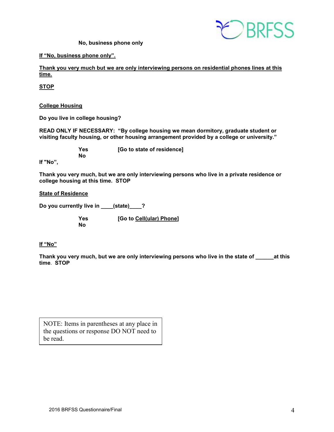

 **No, business phone only**

**If "No, business phone only".**

**Thank you very much but we are only interviewing persons on residential phones lines at this time.**

**STOP**

**College Housing**

**Do you live in college housing?** 

**READ ONLY IF NECESSARY: "By college housing we mean dormitory, graduate student or visiting faculty housing, or other housing arrangement provided by a college or university."**

 **No**

 **Yes [Go to state of residence]**

**If "No",**

**Thank you very much, but we are only interviewing persons who live in a private residence or college housing at this time. STOP** 

**State of Residence**

**Do you currently live in \_\_\_\_(state)\_\_\_\_?** 

 **Yes [Go to Cell(ular) Phone] No** 

#### **If "No"**

**Thank you very much, but we are only interviewing persons who live in the state of \_\_\_\_\_\_at this time**. **STOP**

NOTE: Items in parentheses at any place in the questions or response DO NOT need to be read.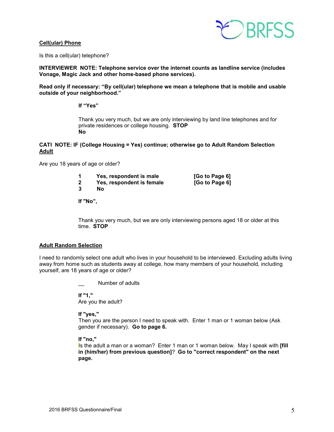#### **Cell(ular) Phone**



Is this a cell(ular) telephone?

**INTERVIEWER NOTE: Telephone service over the internet counts as landline service (includes Vonage, Magic Jack and other home-based phone services).**

**Read only if necessary: "By cell(ular) telephone we mean a telephone that is mobile and usable outside of your neighborhood."** 

**If "Yes"**

Thank you very much, but we are only interviewing by land line telephones and for private residences or college housing. **STOP No**

#### **CATI NOTE: IF (College Housing = Yes) continue; otherwise go to Adult Random Selection Adult**

Are you 18 years of age or older?

| Yes, respondent is male   | [Go to Page 6] |
|---------------------------|----------------|
| Yes, respondent is female | [Go to Page 6] |
| Nο                        |                |

**If "No",**

Thank you very much, but we are only interviewing persons aged 18 or older at this time. **STOP** 

#### **Adult Random Selection**

I need to randomly select one adult who lives in your household to be interviewed. Excluding adults living away from home such as students away at college, how many members of your household, including yourself, are 18 years of age or older?

Number of adults

**If "1,"**  Are you the adult?

**If "yes,"** 

Then you are the person I need to speak with. Enter 1 man or 1 woman below (Ask gender if necessary). **Go to page 6.**

**If "no,"** 

Is the adult a man or a woman? Enter 1 man or 1 woman below. May I speak with **[fill in (him/her) from previous question]**? **Go to "correct respondent" on the next page.**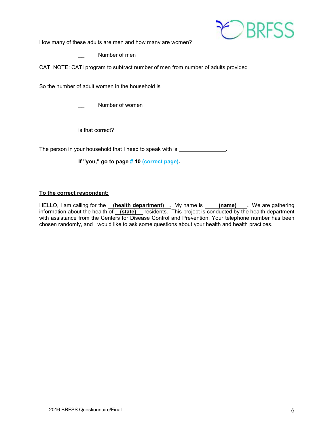

How many of these adults are men and how many are women?

Number of men

CATI NOTE: CATI program to subtract number of men from number of adults provided

So the number of adult women in the household is

Number of women

is that correct?

The person in your household that I need to speak with is \_\_\_\_\_\_\_\_\_\_\_\_\_\_\_.

**If "you," go to page # 10 (correct page).** 

#### **To the correct respondent:**

HELLO, I am calling for the <u>\_\_(health department)\_\_</u>. My name is \_\_\_\_\_(name)\_\_\_\_. We are gathering information about the health of **(state)** residents. This project is conducted by the health department with assistance from the Centers for Disease Control and Prevention. Your telephone number has been chosen randomly, and I would like to ask some questions about your health and health practices.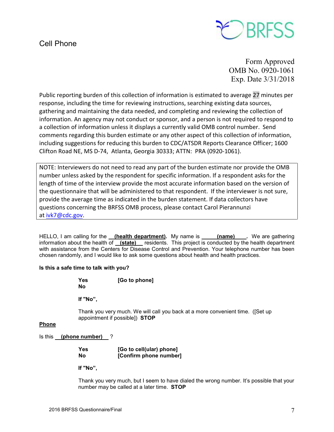## <span id="page-6-0"></span>Cell Phone



Form Approved OMB No. 0920-1061 Exp. Date 3/31/2018

Public reporting burden of this collection of information is estimated to average 27 minutes per response, including the time for reviewing instructions, searching existing data sources, gathering and maintaining the data needed, and completing and reviewing the collection of information. An agency may not conduct or sponsor, and a person is not required to respond to a collection of information unless it displays a currently valid OMB control number. Send comments regarding this burden estimate or any other aspect of this collection of information, including suggestions for reducing this burden to CDC/ATSDR Reports Clearance Officer; 1600 Clifton Road NE, MS D-74, Atlanta, Georgia 30333; ATTN: PRA (0920-1061).

NOTE: Interviewers do not need to read any part of the burden estimate nor provide the OMB number unless asked by the respondent for specific information. If a respondent asks for the length of time of the interview provide the most accurate information based on the version of the questionnaire that will be administered to that respondent. If the interviewer is not sure, provide the average time as indicated in the burden statement. If data collectors have questions concerning the BRFSS OMB process, please contact Carol Pierannunzi at *ivk7@cdc.gov.* 

HELLO, I am calling for the **(health department).** My name is **(name)** Ne are gathering information about the health of **(state)** residents. This project is conducted by the health department with assistance from the Centers for Disease Control and Prevention. Your telephone number has been chosen randomly, and I would like to ask some questions about health and health practices.

#### **Is this a safe time to talk with you?**

| Yes | [Go to phone] |
|-----|---------------|
| No  |               |

**If "No",** 

Thank you very much. We will call you back at a more convenient time. ([Set up appointment if possible]) **STOP** 

#### **Phone**

Is this **(phone number)** ?

| Yes | [Go to cell(ular) phone] |
|-----|--------------------------|
| No  | [Confirm phone number]   |

 **If "No",**

Thank you very much, but I seem to have dialed the wrong number. It's possible that your number may be called at a later time. **STOP**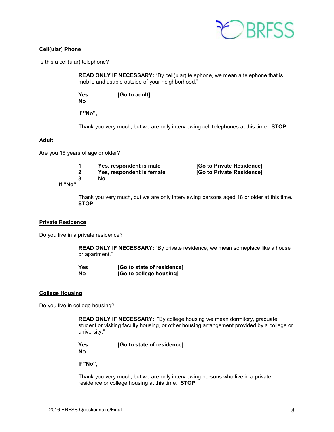

#### **Cell(ular) Phone**

Is this a cell(ular) telephone?

**READ ONLY IF NECESSARY:** "By cell(ular) telephone, we mean a telephone that is mobile and usable outside of your neighborhood."

 **Yes [Go to adult] No**

 **If "No",**

Thank you very much, but we are only interviewing cell telephones at this time. **STOP** 

#### **Adult**

Are you 18 years of age or older?

 1 **Yes, respondent is male [Go to Private Residence] 2** Yes, respondent is female<br>3 No 3 **No**

I**f "No",**

Thank you very much, but we are only interviewing persons aged 18 or older at this time. **STOP** 

#### **Private Residence**

Do you live in a private residence?

**READ ONLY IF NECESSARY:** "By private residence, we mean someplace like a house or apartment."

| <b>Yes</b> | [Go to state of residence] |
|------------|----------------------------|
| Nο         | [Go to college housing]    |

#### **College Housing**

Do you live in college housing?

**READ ONLY IF NECESSARY:** "By college housing we mean dormitory, graduate student or visiting faculty housing, or other housing arrangement provided by a college or university."

 **Yes [Go to state of residence] No**

**If "No",**

Thank you very much, but we are only interviewing persons who live in a private residence or college housing at this time. **STOP**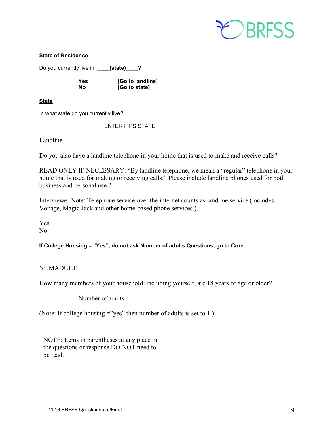

#### **State of Residence**

Do you currently live in **\_\_\_\_\_ (state)** \_\_\_?

 **Yes [Go to landline] No [Go to state]**

**State** 

In what state do you currently live?

ENTER FIPS STATE

Landline

Do you also have a landline telephone in your home that is used to make and receive calls?

READ ONLY IF NECESSARY: "By landline telephone, we mean a "regular" telephone in your home that is used for making or receiving calls." Please include landline phones used for both business and personal use."

Interviewer Note: Telephone service over the internet counts as landline service (includes Vonage, Magic Jack and other home-based phone services.).

Yes No

**If College Housing = "Yes", do not ask Number of adults Questions, go to Core.**

#### NUMADULT

How many members of your household, including yourself, are 18 years of age or older?

Number of adults

(Note: If college housing ="yes" then number of adults is set to 1.)

NOTE: Items in parentheses at any place in the questions or response DO NOT need to be read.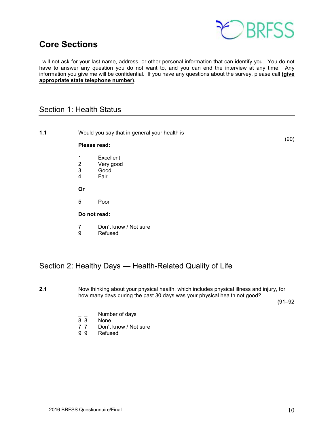

## <span id="page-9-0"></span>**Core Sections**

I will not ask for your last name, address, or other personal information that can identify you. You do not have to answer any question you do not want to, and you can end the interview at any time. Any information you give me will be confidential. If you have any questions about the survey, please call **(give appropriate state telephone number)**.

## <span id="page-9-1"></span>Section 1: Health Status

**1.1** Would you say that in general your health is—

#### (90) **Please read:**

- 
- 1 Excellent<br>2 Verv good 2 Very good<br>3 Good
- 3 Good<br>4 Fair
- **Fair**
- **Or**
- 5 Poor

#### **Do not read:**

- 7 Don't know / Not sure<br>9 Refused
- **Refused**

## <span id="page-9-2"></span>Section 2: Healthy Days — Health-Related Quality of Life

**2.1** Now thinking about your physical health, which includes physical illness and injury, for how many days during the past 30 days was your physical health not good?

(91–92

- $\frac{1}{8}$   $\frac{1}{8}$  Number of days
- 8 8 None<br>7 7 Don't
- 7 7 Don't know / Not sure<br>9 9 Refused
- **Refused**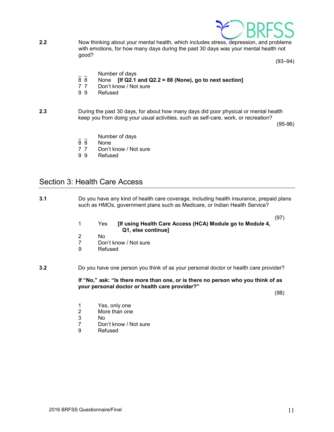

**2.2** Now thinking about your mental health, which includes stress, depression, and problems with emotions, for how many days during the past 30 days was your mental health not good?

 $(93-94)$ 

- $\frac{1}{8}$   $\frac{1}{8}$  Number of days
- 8 8 None **[If Q2.1 and Q2.2 = 88 (None), go to next section]**
- Don't know / Not sure
- 9 9 Refused
- **2.3** During the past 30 days, for about how many days did poor physical or mental health keep you from doing your usual activities, such as self-care, work, or recreation?

(95-96)

- $\overline{88}$  Number of days
- None
- 7 7 Don't know / Not sure<br>9 9 Refused
- **Refused**

## <span id="page-10-0"></span>Section 3: Health Care Access

- **3.1** Do you have any kind of health care coverage, including health insurance, prepaid plans such as HMOs, government plans such as Medicare, or Indian Health Service? (97) 1 Yes **[If using Health Care Access (HCA) Module go to Module 4, Q1, else continue]** 2 No 7 Don't know / Not sure<br>9 Refused **Refused 3.2** Do you have one person you think of as your personal doctor or health care provider? **If "No," ask: "Is there more than one, or is there no person who you think of as your personal doctor or health care provider?"** (98) 1 Yes, only one<br>2 More than one 2 More than one<br>3 No 3 No 7 Don't know / Not sure<br>9 Refused
	- **Refused**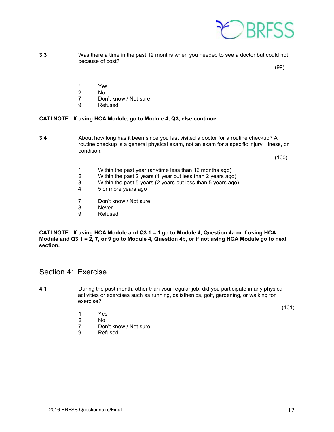

**3.3** Was there a time in the past 12 months when you needed to see a doctor but could not because of cost?

 $(99)$ 

- 1 Yes
- 
- 2 No<br>7 Dor 7 Don't know / Not sure<br>9 Refused
	- **Refused**

#### **CATI NOTE: If using HCA Module, go to Module 4, Q3, else continue.**

**3.4** About how long has it been since you last visited a doctor for a routine checkup? A routine checkup is a general physical exam, not an exam for a specific injury, illness, or condition.

 $(100)$ 

- 1 Within the past year (anytime less than 12 months ago)
- 2 Within the past 2 years (1 year but less than 2 years ago)
- 3 Within the past 5 years (2 years but less than 5 years ago)<br>4 5 or more years ago
- 5 or more years ago
- 7 Don't know / Not sure<br>8 Never
- 8 Never<br>9 Refuse
- **Refused**

**CATI NOTE: If using HCA Module and Q3.1 = 1 go to Module 4, Question 4a or if using HCA Module and Q3.1 = 2, 7, or 9 go to Module 4, Question 4b, or if not using HCA Module go to next section.**

#### <span id="page-11-0"></span>Section 4: Exercise

- **4.1** During the past month, other than your regular job, did you participate in any physical activities or exercises such as running, calisthenics, golf, gardening, or walking for exercise?
	- 1 Yes
	- N<sub>o</sub>
	- 7 Don't know / Not sure<br>9 Refused
	- **Refused**

(101)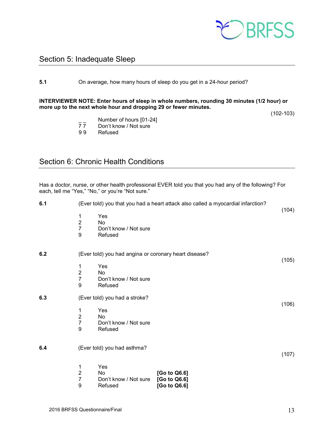

## <span id="page-12-0"></span>Section 5: Inadequate Sleep

#### **5.1** On average, how many hours of sleep do you get in a 24-hour period?

#### **INTERVIEWER NOTE: Enter hours of sleep in whole numbers, rounding 30 minutes (1/2 hour) or more up to the next whole hour and dropping 29 or fewer minutes.**

(102-103)

- $\frac{1}{7}$  Number of hours [01-24]<br>77 Don't know / Not sure
- $\frac{7}{7}$  Don't know / Not sure<br>99 Refused
	- **Refused**

## <span id="page-12-1"></span>Section 6: Chronic Health Conditions

Has a doctor, nurse, or other health professional EVER told you that you had any of the following? For each, tell me "Yes," "No," or you're "Not sure."

| 6.1 | (Ever told) you that you had a heart attack also called a myocardial infarction? |                                                       |                                              |       |
|-----|----------------------------------------------------------------------------------|-------------------------------------------------------|----------------------------------------------|-------|
|     | 1<br>$\overline{c}$<br>$\overline{7}$<br>9                                       | Yes<br>No<br>Don't know / Not sure<br>Refused         |                                              | (104) |
| 6.2 |                                                                                  | (Ever told) you had angina or coronary heart disease? |                                              |       |
|     | 1<br>$\mathbf 2$<br>$\overline{7}$<br>9                                          | Yes<br>No<br>Don't know / Not sure<br>Refused         |                                              | (105) |
| 6.3 |                                                                                  | (Ever told) you had a stroke?                         |                                              | (106) |
|     | 1<br>$\mathbf 2$<br>$\overline{7}$<br>9                                          | Yes<br><b>No</b><br>Don't know / Not sure<br>Refused  |                                              |       |
| 6.4 |                                                                                  | (Ever told) you had asthma?                           |                                              | (107) |
|     | 1<br>$\overline{c}$<br>$\overline{7}$<br>9                                       | Yes<br>No<br>Don't know / Not sure<br>Refused         | [Go to Q6.6]<br>[Go to Q6.6]<br>[Go to Q6.6] |       |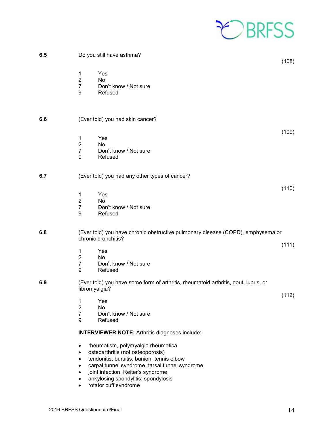

| 6.5 | Do you still have asthma?<br>(108)                                                                                                                                                                                                                                                                                    |
|-----|-----------------------------------------------------------------------------------------------------------------------------------------------------------------------------------------------------------------------------------------------------------------------------------------------------------------------|
|     | 1<br>Yes<br>$\overline{2}$<br>No<br>$\overline{7}$<br>Don't know / Not sure<br>9<br>Refused                                                                                                                                                                                                                           |
| 6.6 | (Ever told) you had skin cancer?                                                                                                                                                                                                                                                                                      |
|     | (109)<br>Yes<br>1<br>$\overline{2}$<br><b>No</b><br>$\overline{7}$<br>Don't know / Not sure<br>9<br>Refused                                                                                                                                                                                                           |
| 6.7 | (Ever told) you had any other types of cancer?                                                                                                                                                                                                                                                                        |
|     | (110)<br>1<br>Yes<br>$\sqrt{2}$<br>No<br>$\overline{7}$<br>Don't know / Not sure<br>9<br>Refused                                                                                                                                                                                                                      |
| 6.8 | (Ever told) you have chronic obstructive pulmonary disease (COPD), emphysema or<br>chronic bronchitis?                                                                                                                                                                                                                |
|     | (111)<br>Yes<br>1<br>$\mathbf 2$<br>No<br>$\overline{7}$<br>Don't know / Not sure<br>9<br>Refused                                                                                                                                                                                                                     |
| 6.9 | (Ever told) you have some form of arthritis, rheumatoid arthritis, gout, lupus, or<br>fibromyalgia?                                                                                                                                                                                                                   |
|     | (112)<br>Yes<br>1<br>$\overline{2}$<br>No<br>$\overline{7}$<br>Don't know / Not sure<br>9<br>Refused                                                                                                                                                                                                                  |
|     | <b>INTERVIEWER NOTE:</b> Arthritis diagnoses include:                                                                                                                                                                                                                                                                 |
|     | rheumatism, polymyalgia rheumatica<br>$\bullet$<br>osteoarthritis (not osteoporosis)<br>$\bullet$<br>tendonitis, bursitis, bunion, tennis elbow<br>$\bullet$<br>carpal tunnel syndrome, tarsal tunnel syndrome<br>$\bullet$<br>joint infection, Reiter's syndrome<br>$\bullet$<br>ankylosing spondylitis; spondylosis |

• rotator cuff syndrome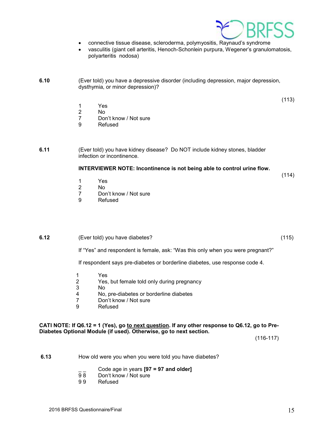

- connective tissue disease, scleroderma, polymyositis, Raynaud's syndrome
- vasculitis (giant cell arteritis, Henoch-Schonlein purpura, Wegener's granulomatosis, polyarteritis nodosa)

**6.10** (Ever told) you have a depressive disorder (including depression, major depression, dysthymia, or minor depression)?

(113)

- 1 Yes<br>2 No
- 2 No<br>7 Dor
- 7 Don't know / Not sure<br>9 Refused
- **Refused**

**6.11** (Ever told) you have kidney disease? Do NOT include kidney stones, bladder infection or incontinence.

#### **INTERVIEWER NOTE: Incontinence is not being able to control urine flow.**

(114)

- 1 Yes
- 2 No<br>7 Doi
- Don't know / Not sure
- 9 Refused

#### **6.12** (Ever told) you have diabetes? (115)

If "Yes" and respondent is female, ask: "Was this only when you were pregnant?"

If respondent says pre-diabetes or borderline diabetes, use response code 4.

- 1 Yes
- 2 Yes, but female told only during pregnancy
- 3 No
- 4 No, pre-diabetes or borderline diabetes<br>7 Don't know / Not sure
- Don't know / Not sure
- 9 Refused

#### **CATI NOTE: If Q6.12 = 1 (Yes), go to next question. If any other response to Q6.12, go to Pre-Diabetes Optional Module (if used). Otherwise, go to next section.**

(116-117)

- **6.13** How old were you when you were told you have diabetes?
	- \_ \_ Code age in years **[97 = 97 and older]**
	- Don't know / Not sure
	- 9 9 Refused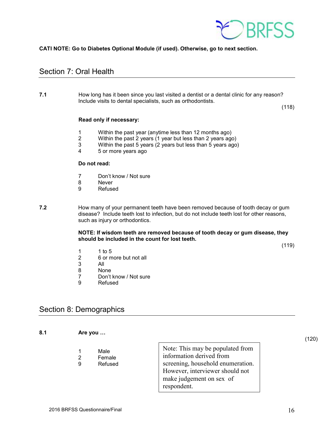

#### **CATI NOTE: Go to Diabetes Optional Module (if used). Otherwise, go to next section.**

## <span id="page-15-0"></span>Section 7: Oral Health

**7.1** How long has it been since you last visited a dentist or a dental clinic for any reason? Include visits to dental specialists, such as orthodontists.

(118)

#### **Read only if necessary:**

- 1 Within the past year (anytime less than 12 months ago)<br>2 Within the past 2 years (1 year but less than 2 years ago
- 2 Within the past 2 years (1 year but less than 2 years ago)
- 3 Within the past 5 years (2 years but less than 5 years ago)
- 4 5 or more years ago

#### **Do not read:**

- 7 Don't know / Not sure
- 8 Never<br>9 Refuse
- **Refused**
- **7.2** How many of your permanent teeth have been removed because of tooth decay or gum disease? Include teeth lost to infection, but do not include teeth lost for other reasons, such as injury or orthodontics.

**NOTE: If wisdom teeth are removed because of tooth decay or gum disease, they should be included in the count for lost teeth.**

(119)

- 1 1 to 5<br>2 6 or m
- 2 6 or more but not all<br>3 All
- 3 All
- **None**
- 7 Don't know / Not sure<br>9 Refused
- **Refused**

## <span id="page-15-1"></span>Section 8: Demographics

| 8.1 |   | Are you                   |                                                                                                                                                                                 | (120) |
|-----|---|---------------------------|---------------------------------------------------------------------------------------------------------------------------------------------------------------------------------|-------|
|     | 9 | Male<br>Female<br>Refused | Note: This may be populated from<br>information derived from<br>screening, household enumeration.<br>However, interviewer should not<br>make judgement on sex of<br>respondent. |       |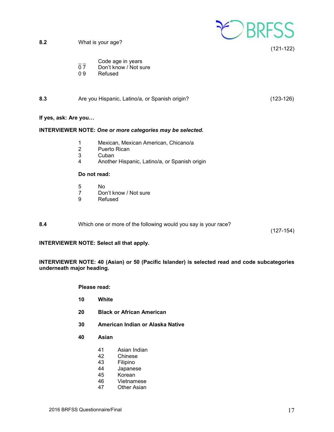

(121-122)

| Code age in years |  |  |
|-------------------|--|--|
|                   |  |  |

- $\overline{0}$   $\overline{7}$  Don't know / Not sure
- 0 9 Refused

| 8.3  | Are you Hispanic, Latino/a, or Spanish origin? | $(123-126)$ |
|------|------------------------------------------------|-------------|
|      |                                                |             |
| $ -$ |                                                |             |

#### **If yes, ask: Are you…**

#### **INTERVIEWER NOTE:** *One or more categories may be selected.*

- 1 Mexican, Mexican American, Chicano/a
- 2 Puerto Rican<br>3 Cuban
- 3 Cuban<br>4 Anothe
- 4 Another Hispanic, Latino/a, or Spanish origin

#### **Do not read:**

- 5 No<br>7 Dor
- 7 Don't know / Not sure<br>9 Refused
- **Refused**
- **8.4** Which one or more of the following would you say is your race?

(127-154)

#### **INTERVIEWER NOTE: Select all that apply.**

#### **INTERVIEWER NOTE: 40 (Asian) or 50 (Pacific Islander) is selected read and code subcategories underneath major heading.**

**Please read:**

- **10 White**
- **20 Black or African American**
- **30 American Indian or Alaska Native**
- **40 Asian**
	- 41 Asian Indian<br>42 Chinese
	- 42 Chinese<br>43 Filipino
	- **Filipino**
	- 44 Japanese<br>45 Korean
	- **Korean**
	- 46 Vietnamese
	- 47 Other Asian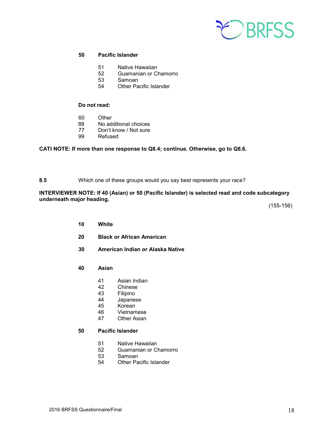

#### **50 Pacific Islander**

- 51 Native Hawaiian
- 52 Guamanian or Chamorro<br>53 Samoan
- 53 Samoan
- 54 Other Pacific Islander

#### **Do not read:**

- 60 Other
- 88 No additional choices
- 77 Don't know / Not sure<br>99 Refused
- Refused

#### **CATI NOTE: If more than one response to Q8.4; continue. Otherwise, go to Q8.6.**

**8.5** Which one of these groups would you say best represents your race?

#### **INTERVIEWER NOTE: If 40 (Asian) or 50 (Pacific Islander) is selected read and code subcategory underneath major heading.**

(155-156)

- **10 White**
- **20 Black or African American**
- **30 American Indian or Alaska Native**
- **40 Asian**
	- 41 Asian Indian<br>42 Chinese
	- **Chinese**
	- 43 Filipino<br>44 Japanes
	- 44 Japanese<br>45 Korean
	- Korean
	- 46 Vietnamese
	- 47 Other Asian

#### **50 Pacific Islander**

- 51 Native Hawaiian
- 52 Guamanian or Chamorro<br>53 Samoan
- 53 Samoan<br>54 Other Pa
- Other Pacific Islander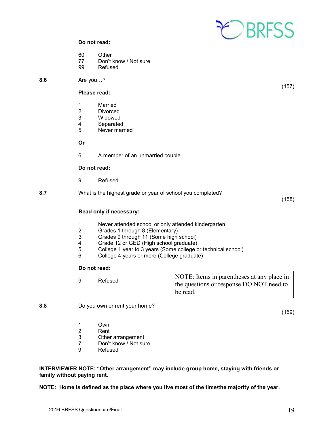

#### **Do not read:**

- 60 Other<br>77 Don't
- Don't know / Not sure
- 99 Refused

**8.6** Are you…?

#### **Please read:**

- 
- 1 Married<br>2 Divorced
- 2 Divorced<br>3 Widowed Widowed
- 
- 4 Separated<br>5 Never marr Never married

#### **Or**

6 A member of an unmarried couple

#### **Do not read:**

- 9 Refused
- **8.7** What is the highest grade or year of school you completed?

(158)

(159)

(157)

#### **Read only if necessary:**

- 1 Never attended school or only attended kindergarten<br>2 Grades 1 through 8 (Elementary)
- 2 Grades 1 through 8 (Elementary)<br>3 Grades 9 through 11 (Some high
- 3 Grades 9 through 11 (Some high school)<br>4 Grade 12 or GED (High school graduate)
- 4 Grade 12 or GED (High school graduate)<br>5 College 1 year to 3 years (Some college of
- 5 College 1 year to 3 years (Some college or technical school)<br>6 College 4 years or more (College graduate)
- College 4 years or more (College graduate)

#### **Do not read:**

9 Refused NOTE: Items in parentheses at any place in the questions or response DO NOT need to be read.

**8.8** Do you own or rent your home?

- 1 Own<br>2 Rent
- 2 Rent<br>3 Other
- 3 Other arrangement<br>7 Don't know / Not su
- Don't know / Not sure
- 9 Refused

**INTERVIEWER NOTE: "Other arrangement" may include group home, staying with friends or family without paying rent.**

**NOTE: Home is defined as the place where you live most of the time/the majority of the year.**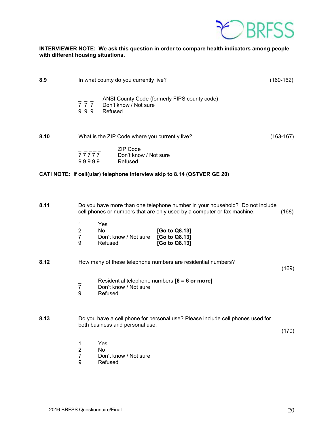

#### **INTERVIEWER NOTE: We ask this question in order to compare health indicators among people with different housing situations.**

| 8.9  |                                                      | In what county do you currently live?                                                                                                                   | $(160-162)$ |
|------|------------------------------------------------------|---------------------------------------------------------------------------------------------------------------------------------------------------------|-------------|
|      | $\overline{7}$ $\overline{7}$ $\overline{7}$<br>999  | ANSI County Code (formerly FIPS county code)<br>Don't know / Not sure<br>Refused                                                                        |             |
| 8.10 |                                                      | What is the ZIP Code where you currently live?                                                                                                          | $(163-167)$ |
|      | 77777<br>99999                                       | ZIP Code<br>Don't know / Not sure<br>Refused                                                                                                            |             |
|      |                                                      | CATI NOTE: If cell(ular) telephone interview skip to 8.14 (QSTVER GE 20)                                                                                |             |
|      |                                                      |                                                                                                                                                         |             |
| 8.11 |                                                      | Do you have more than one telephone number in your household? Do not include<br>cell phones or numbers that are only used by a computer or fax machine. | (168)       |
|      | $\mathbf 1$<br>$\overline{2}$<br>$\overline{7}$<br>9 | Yes<br>No<br>[Go to Q8.13]<br>Don't know / Not sure<br>[Go to Q8.13]<br>Refused<br>[Go to Q8.13]                                                        |             |
| 8.12 |                                                      | How many of these telephone numbers are residential numbers?                                                                                            | (169)       |
|      | $\overline{7}$<br>9                                  | Residential telephone numbers $[6 = 6$ or more]<br>Don't know / Not sure<br>Refused                                                                     |             |
| 8.13 |                                                      | Do you have a cell phone for personal use? Please include cell phones used for<br>both business and personal use.                                       | (170)       |
|      | 1<br>$\overline{\mathbf{c}}$<br>$\overline{7}$<br>9  | Yes<br><b>No</b><br>Don't know / Not sure<br>Refused                                                                                                    |             |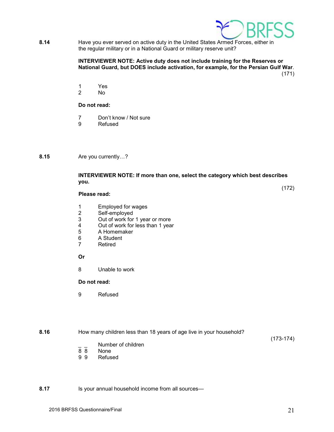

**8.14** Have you ever served on active duty in the United States Armed Forces, either in the regular military or in a National Guard or military reserve unit?

#### **INTERVIEWER NOTE: Active duty does not include training for the Reserves or National Guard, but DOES include activation, for example, for the Persian Gulf War**. (171)

1 Yes

2 No

#### **Do not read:**

- 7 Don't know / Not sure
- 9 Refused

**8.15** Are you currently…?

#### **INTERVIEWER NOTE: If more than one, select the category which best describes you.**

#### **Please read:**

- 1 Employed for wages<br>2 Self-employed
- 2 Self-employed<br>3 Out of work for
- 3 Out of work for 1 year or more<br>4 Out of work for less than 1 year
- 4 Out of work for less than 1 year<br>5 A Homemaker
- 5 A Homemaker<br>6 A Student
- 6 A Student<br>7 Retired
- **Retired**

#### **Or**

8 Unable to work

#### **Do not read:**

9 Refused

**8.16** How many children less than 18 years of age live in your household?

(173-174)

(172)

- $\frac{1}{8}$   $\frac{1}{8}$  Number of children
- 8 8 None<br>9 9 Refus
- **Refused**

**8.17** Is your annual household income from all sources—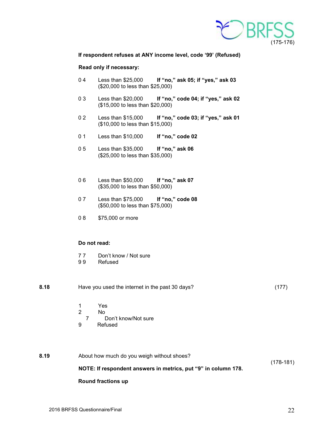

**If respondent refuses at ANY income level, code '99' (Refused)**

#### **Read only if necessary:**

- 0 4 Less than \$25,000 **If "no," ask 05; if "yes," ask 03** (\$20,000 to less than \$25,000)
- 0 3 Less than \$20,000 **If "no," code 04; if "yes," ask 02** (\$15,000 to less than \$20,000)
- 0 2 Less than \$15,000 **If "no," code 03; if "yes," ask 01** (\$10,000 to less than \$15,000)
- 0 1 Less than \$10,000 **If "no," code 02**
- 0 5 Less than \$35,000 **If "no," ask 06** (\$25,000 to less than \$35,000)
- 0 6 Less than \$50,000 **If "no," ask 07** (\$35,000 to less than \$50,000)
- 0 7 Less than \$75,000 **If "no," code 08** (\$50,000 to less than \$75,000)
- 0 8 \$75,000 or more

#### **Do not read:**

- 77 Don't know / Not sure<br>99 Refused
- **Refused**

| 8.18 |   | Have you used the internet in the past 30 days? | (177 |
|------|---|-------------------------------------------------|------|
|      |   | Yes                                             |      |
|      | 2 | Nο                                              |      |
|      |   | Don't know/Not sure                             |      |
|      | 9 | Refused                                         |      |

| 8.19 | About how much do you weigh without shoes?                     |           |
|------|----------------------------------------------------------------|-----------|
|      |                                                                | (178-181) |
|      | NOTE: If respondent answers in metrics, put "9" in column 178. |           |
|      |                                                                |           |

#### **Round fractions up**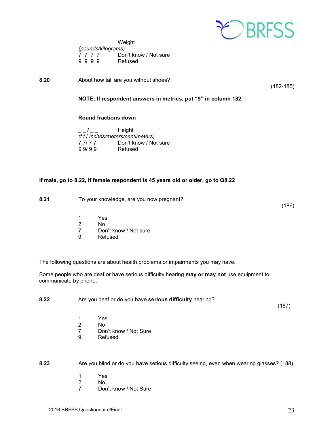

|                    | Weight |      |  |                       |  |
|--------------------|--------|------|--|-----------------------|--|
| (pounds/kilograms) |        |      |  |                       |  |
|                    |        | 7777 |  | Don't know / Not sure |  |
|                    |        | 9999 |  | Refused               |  |

**8.20** About how tall are you without shoes?

(182-185)

**NOTE: If respondent answers in metrics, put "9" in column 182.**

#### **Round fractions down**

| Height                            |                       |  |  |
|-----------------------------------|-----------------------|--|--|
| (f t / inches/meters/centimeters) |                       |  |  |
| 77/77                             | Don't know / Not sure |  |  |
| 99/99                             | Refused               |  |  |

#### **If male, go to 8.22, if female respondent is 45 years old or older, go to Q8.22**

| 8.21<br>To your knowledge, are you now pregnant? |  |
|--------------------------------------------------|--|
|--------------------------------------------------|--|

- 1 Yes
- 2 No<br>7 Dor
- 7 Don't know / Not sure<br>9 Refused
- **Refused**

The following questions are about health problems or impairments you may have.

Some people who are deaf or have serious difficulty hearing **may or may not** use equipment to communicate by phone.

**8.22** Are you deaf or do you have **serious difficulty** hearing?

 $(187)$ 

(186)

- 1 Yes<br>2 No
- 2 No<br>7 Dor
- 7 Don't know / Not Sure<br>9 Refused
- **Refused**

**8.23** Are you blind or do you have serious difficulty seeing, even when wearing glasses? (188)

- 1 Yes
- 2 No<br>7 Dor
- Don't know / Not Sure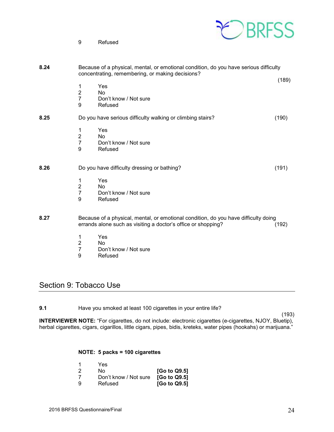9 Refused



| 8.24 |                                              | Because of a physical, mental, or emotional condition, do you have serious difficulty<br>concentrating, remembering, or making decisions?            | (189) |
|------|----------------------------------------------|------------------------------------------------------------------------------------------------------------------------------------------------------|-------|
|      | 1<br>$\overline{2}$<br>$\overline{7}$<br>9   | Yes<br>No<br>Don't know / Not sure<br>Refused                                                                                                        |       |
| 8.25 |                                              | Do you have serious difficulty walking or climbing stairs?                                                                                           | (190) |
|      | 1<br>$\boldsymbol{2}$<br>$\overline{7}$<br>9 | Yes<br><b>No</b><br>Don't know / Not sure<br>Refused                                                                                                 |       |
| 8.26 |                                              | Do you have difficulty dressing or bathing?                                                                                                          | (191) |
|      | 1<br>$\overline{2}$<br>$\overline{7}$<br>9   | Yes<br>No<br>Don't know / Not sure<br>Refused                                                                                                        |       |
| 8.27 |                                              | Because of a physical, mental, or emotional condition, do you have difficulty doing<br>errands alone such as visiting a doctor's office or shopping? | (192) |
|      | 1<br>$\overline{2}$<br>7                     | Yes<br>No<br>Don't know / Not sure                                                                                                                   |       |

 7 Don't know / Not sure **Refused** 

## <span id="page-23-0"></span>Section 9: Tobacco Use

**9.1** Have you smoked at least 100 cigarettes in your entire life?

 (193) **INTERVIEWER NOTE:** "For cigarettes, do not include: electronic cigarettes (e-cigarettes, NJOY, Bluetip), herbal cigarettes, cigars, cigarillos, little cigars, pipes, bidis, kreteks, water pipes (hookahs) or marijuana."

#### **NOTE: 5 packs = 100 cigarettes**

|    | Yes                   |                                       |
|----|-----------------------|---------------------------------------|
| 2  | N٥                    | [Go to Q9.5]                          |
|    | Don't know / Not sure | [G <sub>o</sub> to Q <sub>9.5</sub> ] |
| -9 | Refused               | [Go to Q9.5]                          |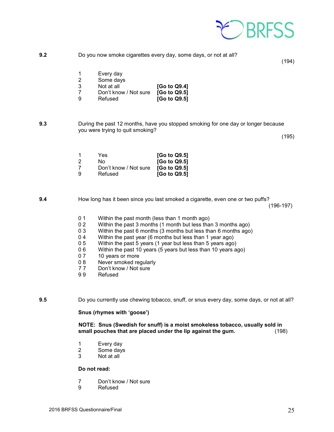

(194)

|    | Every day             |              |
|----|-----------------------|--------------|
| -2 | Some days             |              |
| -3 | Not at all            | [Go to Q9.4] |
|    | Don't know / Not sure | [Go to Q9.5] |
| 9  | Refused               | [Go to Q9.5] |

**9.3** During the past 12 months, have you stopped smoking for one day or longer because you were trying to quit smoking? (195)

|               | Yes                   | [Go to Q9.5] |
|---------------|-----------------------|--------------|
| $\mathcal{P}$ | N٥                    | [Go to Q9.5] |
| -7            | Don't know / Not sure | [Go to Q9.5] |
| 9             | Refused               | [Go to Q9.5] |

**9.4** How long has it been since you last smoked a cigarette, even one or two puffs? (196-197)

- 0 1 Within the past month (less than 1 month ago)<br>0 2 Within the past 3 months (1 month but less tha
- 0 2 Within the past 3 months (1 month but less than 3 months ago)<br>0 3 Within the past 6 months (3 months but less than 6 months ago
- 0 3 Within the past 6 months (3 months but less than 6 months ago)<br>0 4 Within the past year (6 months but less than 1 year ago)
- 0 4 Within the past year (6 months but less than 1 year ago)<br>0 5 Within the past 5 years (1 year but less than 5 years ago)
- 0 5 Within the past 5 years (1 year but less than 5 years ago)<br>0 6 Within the past 10 years (5 years but less than 10 years a
- 0 6 Within the past 10 years (5 years but less than 10 years ago)<br>0 7 10 years or more
- 10 years or more
- 0 8 Never smoked regularly<br>7 7 Don't know / Not sure
- 77 Don't know / Not sure<br>9.9 Refused
- **Refused**

**9.5** Do you currently use chewing tobacco, snuff, or snus every day, some days, or not at all?

**Snus (rhymes with 'goose')**

**NOTE: Snus (Swedish for snuff) is a moist smokeless tobacco, usually sold in**  small pouches that are placed under the lip against the gum.

- 1 Every day<br>2 Some days
- Some days
- 3 Not at all

#### **Do not read:**

- 7 Don't know / Not sure<br>9 Refused
- **Refused**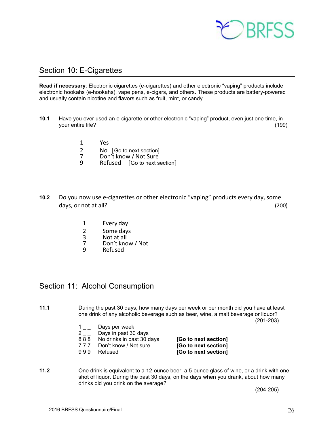

## <span id="page-25-0"></span>Section 10: E-Cigarettes

**Read if necessary**: Electronic cigarettes (e-cigarettes) and other electronic "vaping" products include electronic hookahs (e-hookahs), vape pens, e-cigars, and others. These products are battery-powered and usually contain nicotine and flavors such as fruit, mint, or candy.

- **10.1** Have you ever used an e-cigarette or other electronic "vaping" product, even just one time, in your entire life? (199)
	- 1 Yes
	- 2 No [Go to next section]<br>7 Don't know / Not Sure
	- 7 Don't know / Not Sure<br>9 Refused 「Go to next s
	- Refused [Go to next section]
- **10.2** Do you now use e-cigarettes or other electronic "vaping" products every day, some days, or not at all? (200)
	- 1 Every day
	- 2 Some days<br>3 Not at all
	-
	- 3 Not at all<br>7 Don't kno 7 Don't know / Not
	- **Refused**

## <span id="page-25-1"></span>Section 11: Alcohol Consumption

**11.1** During the past 30 days, how many days per week or per month did you have at least one drink of any alcoholic beverage such as beer, wine, a malt beverage or liquor?

(201-203)

- $1_{--}$  Days per week
- $2 -$  Days in past 30 days<br>888 No drinks in past 30 d
- 
- 
- 

8 8 8 No drinks in past 30 days **[Go to next section] Don't know / Not sure <b>[Go to next section]** 9 9 9 Refused **[Go to next section]**

**11.2** One drink is equivalent to a 12-ounce beer, a 5-ounce glass of wine, or a drink with one shot of liquor. During the past 30 days, on the days when you drank, about how many drinks did you drink on the average?

(204-205)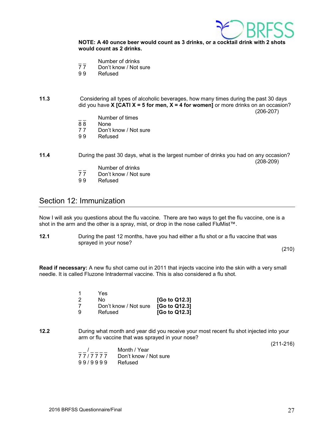

**NOTE: A 40 ounce beer would count as 3 drinks, or a cocktail drink with 2 shots would count as 2 drinks.**

- $\overline{7}$  Number of drinks<br> $\overline{7}$  Don't know / Not s
- Don't know / Not sure
- 9 9 Refused
- **11.3** Considering all types of alcoholic beverages, how many times during the past 30 days did you have **X [CATI X = 5 for men, X = 4 for women]** or more drinks on an occasion? (206-207)
	- $\frac{1}{8}$  Number of times
	- 88 None<br>77 Don't
	- 77 Don't know / Not sure<br>99 Refused
	- **Refused**
- **11.4** During the past 30 days, what is the largest number of drinks you had on any occasion? (208-209)
	- $\frac{1}{7}$  Number of drinks<br>77 Don't know / Not s
	- $\overline{7}$   $\overline{7}$  Don't know / Not sure<br>99 Refused
	- **Refused**

## <span id="page-26-0"></span>Section 12: Immunization

Now I will ask you questions about the flu vaccine. There are two ways to get the flu vaccine, one is a shot in the arm and the other is a spray, mist, or drop in the nose called FluMist™.

**12.1** During the past 12 months, have you had either a flu shot or a flu vaccine that was sprayed in your nose?

(210)

**Read if necessary:** A new flu shot came out in 2011 that injects vaccine into the skin with a very small needle. It is called Fluzone Intradermal vaccine. This is also considered a flu shot.

|    | Yes                   |               |
|----|-----------------------|---------------|
| -2 | N٥                    | [Go to Q12.3] |
|    | Don't know / Not sure | [Go to Q12.3] |
| ୍ର | Refused               | [Go to Q12.3] |

**12.2** During what month and year did you receive your most recent flu shot injected into your arm or flu vaccine that was sprayed in your nose?

(211-216)

|         | Month / Year          |
|---------|-----------------------|
| 77/7777 | Don't know / Not sure |
| 99/9999 | Refused               |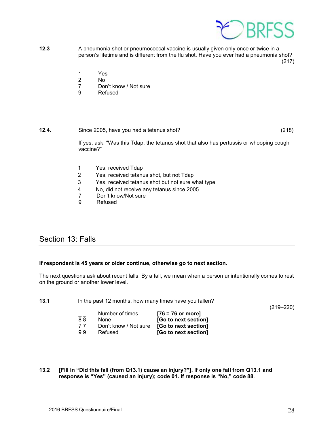

**12.3** A pneumonia shot or pneumococcal vaccine is usually given only once or twice in a person's lifetime and is different from the flu shot. Have you ever had a pneumonia shot?  $(217)$ 

1 Yes

- 2 No
- Don't know / Not sure
- 9 Refused

## **12.4.** Since 2005, have you had a tetanus shot? (218)

If yes, ask: "Was this Tdap, the tetanus shot that also has pertussis or whooping cough vaccine?"

- 1 Yes, received Tdap
- 2 Yes, received tetanus shot, but not Tdap
- 3 Yes, received tetanus shot but not sure what type
- 4 No, did not receive any tetanus since 2005<br>7 Don't know/Not sure
- 7 Don't know/Not sure<br>9 Refused
- **Refused**

## <span id="page-27-0"></span>Section 13: Falls

#### **If respondent is 45 years or older continue, otherwise go to next section.**

The next questions ask about recent falls. By a fall, we mean when a person unintentionally comes to rest on the ground or another lower level.

| 13.1 | In the past 12 months, how many times have you fallen? |  |  |
|------|--------------------------------------------------------|--|--|
|------|--------------------------------------------------------|--|--|

(219–220)

|    | Number of times       | $[76 = 76$ or more]  |
|----|-----------------------|----------------------|
| 88 | None                  | [Go to next section] |
| 77 | Don't know / Not sure | [Go to next section] |
| 99 | Refused               | [Go to next section] |

**13.2 [Fill in "Did this fall (from Q13.1) cause an injury?"]. If only one fall from Q13.1 and response is "Yes" (caused an injury); code 01. If response is "No," code 88**.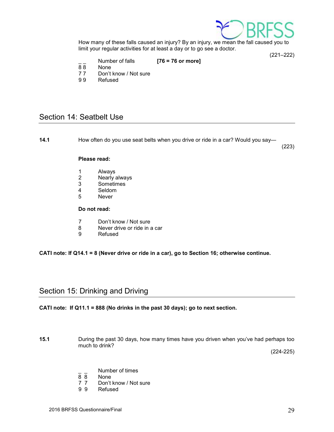

How many of these falls caused an injury? By an injury, we mean the fall caused you to limit your regular activities for at least a day or to go see a doctor. (221–222)

- \_ \_ Number of falls **[76 = 76 or more]**
- None
- 77 Don't know / Not sure<br>99 Refused
- **Refused**

## <span id="page-28-0"></span>Section 14: Seatbelt Use

**14.1** How often do you use seat belts when you drive or ride in a car? Would you say—

(223)

#### **Please read:**

- 1 Always<br>2 Nearly a
- 2 Nearly always<br>3 Sometimes
- **Sometimes**
- 4 Seldom<br>5 Never
- **Never**

#### **Do not read:**

- 7 Don't know / Not sure<br>8 Never drive or ride in a
- $8$  Never drive or ride in a car<br>9 Refused
- **Refused**

**CATI note: If Q14.1 = 8 (Never drive or ride in a car), go to Section 16; otherwise continue.**

## <span id="page-28-1"></span>Section 15: Drinking and Driving

#### **CATI note: If Q11.1 = 888 (No drinks in the past 30 days); go to next section.**

**15.1** During the past 30 days, how many times have you driven when you've had perhaps too much to drink?

(224-225)

- $\frac{1}{8}$   $\frac{1}{8}$  Number of times
- 8 8 None<br>7 7 Don't
- 7 7 Don't know / Not sure<br>9 9 Refused
- **Refused**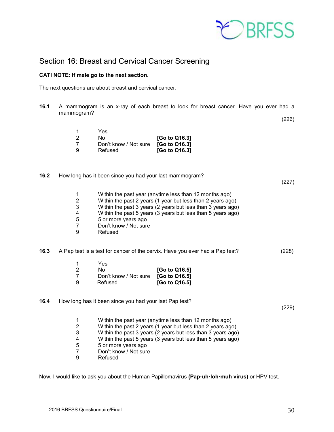

## <span id="page-29-0"></span>Section 16: Breast and Cervical Cancer Screening

#### **CATI NOTE: If male go to the next section.**

The next questions are about breast and cervical cancer.

**16.1** A mammogram is an x-ray of each breast to look for breast cancer. Have you ever had a mammogram? (226)

| 1 | Yes                   |               |
|---|-----------------------|---------------|
| 2 | N٥                    | [Go to Q16.3] |
| 7 | Don't know / Not sure | [Go to Q16.3] |
| 9 | Refused               | [Go to Q16.3] |

**16.2** How long has it been since you had your last mammogram?

|                                                             |                                                                                      |                                                           | (227)                                                                                                                                                                                                                                                                                                                                                                                                                                                                                                                                                                                                                                                                                |
|-------------------------------------------------------------|--------------------------------------------------------------------------------------|-----------------------------------------------------------|--------------------------------------------------------------------------------------------------------------------------------------------------------------------------------------------------------------------------------------------------------------------------------------------------------------------------------------------------------------------------------------------------------------------------------------------------------------------------------------------------------------------------------------------------------------------------------------------------------------------------------------------------------------------------------------|
| 1<br>$\boldsymbol{2}$<br>3<br>4<br>5<br>$\overline{7}$<br>9 | 5 or more years ago<br>Don't know / Not sure<br>Refused                              |                                                           |                                                                                                                                                                                                                                                                                                                                                                                                                                                                                                                                                                                                                                                                                      |
|                                                             |                                                                                      |                                                           | (228)                                                                                                                                                                                                                                                                                                                                                                                                                                                                                                                                                                                                                                                                                |
|                                                             |                                                                                      |                                                           |                                                                                                                                                                                                                                                                                                                                                                                                                                                                                                                                                                                                                                                                                      |
|                                                             |                                                                                      |                                                           |                                                                                                                                                                                                                                                                                                                                                                                                                                                                                                                                                                                                                                                                                      |
|                                                             |                                                                                      |                                                           |                                                                                                                                                                                                                                                                                                                                                                                                                                                                                                                                                                                                                                                                                      |
| 9                                                           | Refused                                                                              | [Go to Q16.5]                                             |                                                                                                                                                                                                                                                                                                                                                                                                                                                                                                                                                                                                                                                                                      |
|                                                             |                                                                                      |                                                           | (229)                                                                                                                                                                                                                                                                                                                                                                                                                                                                                                                                                                                                                                                                                |
|                                                             |                                                                                      |                                                           |                                                                                                                                                                                                                                                                                                                                                                                                                                                                                                                                                                                                                                                                                      |
|                                                             |                                                                                      |                                                           |                                                                                                                                                                                                                                                                                                                                                                                                                                                                                                                                                                                                                                                                                      |
|                                                             |                                                                                      |                                                           |                                                                                                                                                                                                                                                                                                                                                                                                                                                                                                                                                                                                                                                                                      |
|                                                             |                                                                                      |                                                           |                                                                                                                                                                                                                                                                                                                                                                                                                                                                                                                                                                                                                                                                                      |
|                                                             |                                                                                      |                                                           |                                                                                                                                                                                                                                                                                                                                                                                                                                                                                                                                                                                                                                                                                      |
| $\overline{7}$                                              | Don't know / Not sure                                                                |                                                           |                                                                                                                                                                                                                                                                                                                                                                                                                                                                                                                                                                                                                                                                                      |
| 9                                                           | Refused                                                                              |                                                           |                                                                                                                                                                                                                                                                                                                                                                                                                                                                                                                                                                                                                                                                                      |
|                                                             | 1<br>$\overline{c}$<br>$\overline{7}$<br>1<br>$\overline{\mathbf{c}}$<br>3<br>4<br>5 | Yes<br>No<br>Don't know / Not sure<br>5 or more years ago | Within the past year (anytime less than 12 months ago)<br>Within the past 2 years (1 year but less than 2 years ago)<br>Within the past 3 years (2 years but less than 3 years ago)<br>Within the past 5 years (3 years but less than 5 years ago)<br>A Pap test is a test for cancer of the cervix. Have you ever had a Pap test?<br>[Go to Q16.5]<br>[Go to Q16.5]<br>How long has it been since you had your last Pap test?<br>Within the past year (anytime less than 12 months ago)<br>Within the past 2 years (1 year but less than 2 years ago)<br>Within the past 3 years (2 years but less than 3 years ago)<br>Within the past 5 years (3 years but less than 5 years ago) |

Now, I would like to ask you about the Human Papillomavirus **(Pap·uh·loh·muh virus)** or HPV test.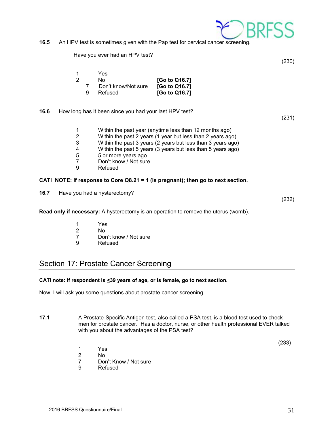

Have you ever had an HPV test?

(230)

| 1 |   | Yes                 |               |
|---|---|---------------------|---------------|
| 2 |   | N٥                  | [Go to Q16.7] |
|   |   | Don't know/Not sure | [Go to Q16.7] |
|   | g | Refused             | [Go to Q16.7] |

**16.6** How long has it been since you had your last HPV test?

(231)

- 1 Within the past year (anytime less than 12 months ago)
- Within the past 2 years (1 year but less than 2 years ago)
- 3 Within the past 3 years (2 years but less than 3 years ago)
- 4 Within the past 5 years (3 years but less than 5 years ago)<br>5 5 or more years ago
- 5 5 or more years ago<br>7 Don't know / Not sure
- 7 Don't know / Not sure<br>9 Refused
- **Refused**

#### **CATI NOTE: If response to Core Q8.21 = 1 (is pregnant); then go to next section.**

**16.7** Have you had a hysterectomy?

(232)

- **Read only if necessary:** A hysterectomy is an operation to remove the uterus (womb).
	- 1 Yes<br>2 No
	- 2 No<br>7 Dor
	- 7 Don't know / Not sure<br>9 Refused
	- **Refused**

## <span id="page-30-0"></span>Section 17: Prostate Cancer Screening

#### **CATI note: If respondent is <39 years of age, or is female, go to next section.**

Now, I will ask you some questions about prostate cancer screening.

**17.1** A Prostate-Specific Antigen test, also called a PSA test, is a blood test used to check men for prostate cancer. Has a doctor, nurse, or other health professional EVER talked with you about the advantages of the PSA test?

 $(233)$ 

- 1 Yes
- No.
- 7 Don't Know / Not sure
- 9 Refused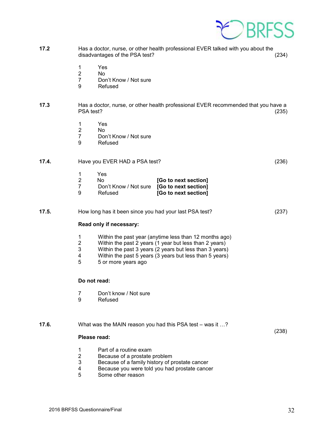

- **17.2** Has a doctor, nurse, or other health professional EVER talked with you about the disadvantages of the PSA test? (234)
	- 1 Yes
	- 2 No<br>7 Dor
	- Don't Know / Not sure
	- 9 Refused

#### **17.3** Has a doctor, nurse, or other health professional EVER recommended that you have a PSA test? (235)

- 1 Yes<br>2 No
- 2 No<br>7 Dor
- Don't Know / Not sure
- 9 Refused

## **17.4.** Have you EVER HAD a PSA test? (236)

|    | Yes                   |                      |
|----|-----------------------|----------------------|
| -2 | No.                   | [Go to next section] |
|    | Don't Know / Not sure | [Go to next section] |
| ୍ର | Refused               | [Go to next section] |

#### **17.5.** How long has it been since you had your last PSA test? (237)

#### **Read only if necessary:**

- 1 Within the past year (anytime less than 12 months ago)<br>2 Within the past 2 years (1 year but less than 2 years)
- 2 Within the past 2 years (1 year but less than 2 years)<br>3 Within the past 3 years (2 years but less than 3 years)
- 3 Within the past 3 years (2 years but less than 3 years)
- 4 Within the past 5 years (3 years but less than 5 years)<br>5 5 or more vears ago
- 5 5 or more years ago

#### **Do not read:**

- 7 Don't know / Not sure<br>9 Refused
- **Refused**

#### **17.6.** What was the MAIN reason you had this PSA test – was it ...?

 $(238)$ 

#### **Please read:**

- 1 Part of a routine exam<br>2 Because of a prostate
- 2 Because of a prostate problem<br>3 Because of a family history of p
- 3 Because of a family history of prostate cancer
- 4 Because you were told you had prostate cancer<br>5 Some other reason
- 5 Some other reason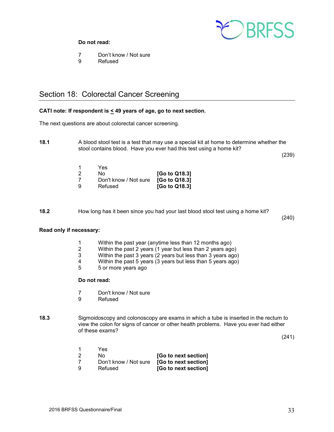

#### **Do not read:**

- 7 Don't know / Not sure<br>9 Refused
- **Refused**

## <span id="page-32-0"></span>Section 18: Colorectal Cancer Screening

#### **CATI note: If respondent is < 49 years of age, go to next section.**

The next questions are about colorectal cancer screening.

**18.1** A blood stool test is a test that may use a special kit at home to determine whether the stool contains blood. Have you ever had this test using a home kit?

(239)

| 1 | Yes                   |               |
|---|-----------------------|---------------|
| 2 | No.                   | [Go to Q18.3] |
| 7 | Don't know / Not sure | [Go to Q18.3] |
| 9 | Refused               | [Go to Q18.3] |

**18.2** How long has it been since you had your last blood stool test using a home kit?

(240)

#### **Read only if necessary:**

- 1 Within the past year (anytime less than 12 months ago)<br>2 Within the past 2 years (1 year but less than 2 years ago
- 2 Within the past 2 years (1 year but less than 2 years ago)<br>3 Within the past 3 years (2 years but less than 3 years ago
- 3 Within the past 3 years (2 years but less than 3 years ago)
- 4 Within the past 5 years (3 years but less than 5 years ago)  $5 5$  or more vears ago
- 5 5 or more years ago

#### **Do not read:**

- 7 Don't know / Not sure<br>9 Refused
- **Refused**
- **18.3** Sigmoidoscopy and colonoscopy are exams in which a tube is inserted in the rectum to view the colon for signs of cancer or other health problems. Have you ever had either of these exams?

(241)

|     | Yes                    |                      |
|-----|------------------------|----------------------|
| -2  | No.                    | [Go to next section] |
| - 7 | Don't know / Not sure  | [Go to next section] |
|     | <b>D</b> - f. . - - -l | $10 - 1 - 21$        |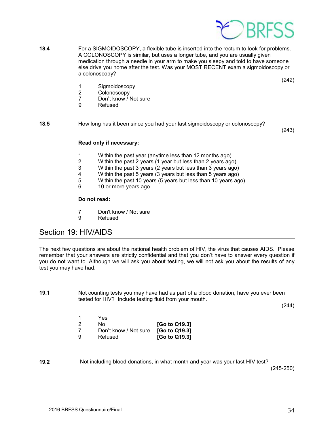

**18.4** For a SIGMOIDOSCOPY, a flexible tube is inserted into the rectum to look for problems. A COLONOSCOPY is similar, but uses a longer tube, and you are usually given medication through a needle in your arm to make you sleepy and told to have someone else drive you home after the test. Was your MOST RECENT exam a sigmoidoscopy or a colonoscopy?

(242)

- 1 Sigmoidoscopy
- 2 Colonoscopy<br>7 Don't know / I
- Don't know / Not sure
- 9 Refused

**18.5** How long has it been since you had your last sigmoidoscopy or colonoscopy?

(243)

#### **Read only if necessary:**

- 1 Within the past year (anytime less than 12 months ago)
- 2 Within the past 2 years (1 year but less than 2 years ago)<br>3 Within the past 3 years (2 years but less than 3 years ago
- 3 Within the past 3 years (2 years but less than 3 years ago)
- 
- 4 Within the past 5 years (3 years but less than 5 years ago) 5 Within the past 10 years (5 years but less than 10 years ago)  $\frac{6}{10}$  or more years ago
- 10 or more years ago

#### **Do not read:**

- 7 Don't know / Not sure
- 9 Refused

## <span id="page-33-0"></span>Section 19: HIV/AIDS

The next few questions are about the national health problem of HIV, the virus that causes AIDS. Please remember that your answers are strictly confidential and that you don't have to answer every question if you do not want to. Although we will ask you about testing, we will not ask you about the results of any test you may have had.

**19.1** Not counting tests you may have had as part of a blood donation, have you ever been tested for HIV? Include testing fluid from your mouth.

(244)

|    | Yes                   |               |
|----|-----------------------|---------------|
| -2 | N٥                    | [Go to Q19.3] |
|    | Don't know / Not sure | [Go to Q19.3] |
| -9 | Refused               | [Go to Q19.3] |

**19.2** Not including blood donations, in what month and year was your last HIV test?

(245-250)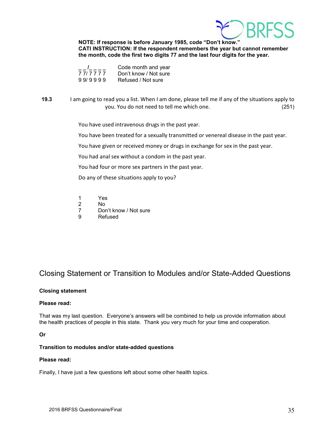

#### **NOTE: If response is before January 1985, code "Don't know."**

**CATI INSTRUCTION: If the respondent remembers the year but cannot remember the month, code the first two digits 77 and the last four digits for the year.** 

|         | Code month and year   |
|---------|-----------------------|
| 777777  | Don't know / Not sure |
| 99/9999 | Refused / Not sure    |

## **19.3** I am going to read you a list. When I am done, please tell me if any of the situations apply to you. You do not need to tell me which one. (251)

You have used intravenous drugs in the past year.

You have been treated for a sexually transmitted or venereal disease in the past year.

You have given or received money or drugs in exchange for sex in the past year.

You had anal sex without a condom in the past year.

You had four or more sex partners in the past year.

Do any of these situations apply to you?

- 1 Yes<br>2 No
- 2 No<br>7 Dor
- 7 Don't know / Not sure<br>9 Refused
- **Refused**

## Closing Statement or Transition to Modules and/or State-Added Questions

#### **Closing statement**

#### **Please read:**

That was my last question. Everyone's answers will be combined to help us provide information about the health practices of people in this state. Thank you very much for your time and cooperation.

**Or**

#### **Transition to modules and/or state-added questions**

#### **Please read:**

Finally, I have just a few questions left about some other health topics.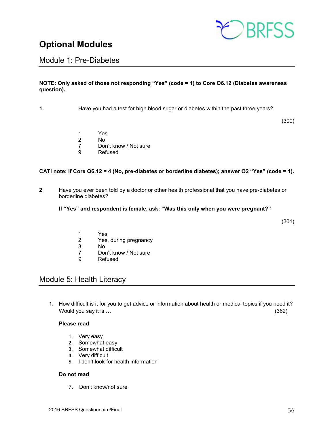

# <span id="page-35-0"></span>**Optional Modules**

## <span id="page-35-1"></span>Module 1: Pre-Diabetes

#### **NOTE: Only asked of those not responding "Yes" (code = 1) to Core Q6.12 (Diabetes awareness question).**

**1.** Have you had a test for high blood sugar or diabetes within the past three years?

(300)

- 1 Yes
- 2 No
- 7 Don't know / Not sure<br>9 Refused
- **Refused**

#### **CATI note: If Core Q6.12 = 4 (No, pre-diabetes or borderline diabetes); answer Q2 "Yes" (code = 1).**

**2** Have you ever been told by a doctor or other health professional that you have pre-diabetes or borderline diabetes?

#### **If "Yes" and respondent is female, ask: "Was this only when you were pregnant?"**

(301)

- 1 Yes<br>2 Yes.
- 2 Yes, during pregnancy<br>3 No
- 3 No
- Don't know / Not sure
- 9 Refused

## <span id="page-35-2"></span>Module 5: Health Literacy

1. How difficult is it for you to get advice or information about health or medical topics if you need it? Would you say it is … (362)

#### **Please read**

- 1. Very easy
- 2. Somewhat easy
- 3. Somewhat difficult
- 4. Very difficult
- 5. I don't look for health information

#### **Do not read**

7. Don't know/not sure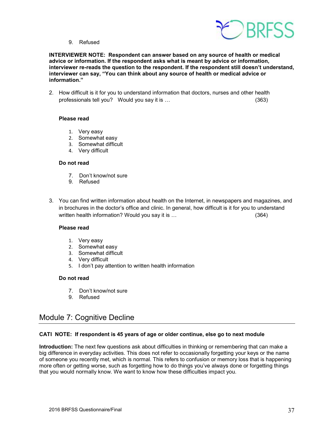

9. Refused

**INTERVIEWER NOTE: Respondent can answer based on any source of health or medical advice or information. If the respondent asks what is meant by advice or information, interviewer re-reads the question to the respondent. If the respondent still doesn't understand, interviewer can say, "You can think about any source of health or medical advice or information."**

2. How difficult is it for you to understand information that doctors, nurses and other health professionals tell you? Would you say it is … (363)

#### **Please read**

- 1. Very easy
- 2. Somewhat easy
- 3. Somewhat difficult
- 4. Very difficult

#### **Do not read**

- 7. Don't know/not sure
- 9. Refused
- 3. You can find written information about health on the Internet, in newspapers and magazines, and in brochures in the doctor's office and clinic. In general, how difficult is it for you to understand written health information? Would you say it is …

#### **Please read**

- 1. Very easy
- 2. Somewhat easy
- 3. Somewhat difficult
- 4. Very difficult
- 5. I don't pay attention to written health information

#### **Do not read**

- 7. Don't know/not sure
- 9. Refused

## <span id="page-36-0"></span>Module 7: Cognitive Decline

#### **CATI NOTE: If respondent is 45 years of age or older continue, else go to next module**

**Introduction:** The next few questions ask about difficulties in thinking or remembering that can make a big difference in everyday activities. This does not refer to occasionally forgetting your keys or the name of someone you recently met, which is normal. This refers to confusion or memory loss that is happening more often or getting worse, such as forgetting how to do things you've always done or forgetting things that you would normally know. We want to know how these difficulties impact you.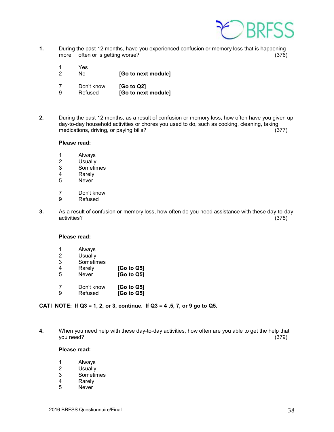

- **1.** During the past 12 months, have you experienced confusion or memory loss that is happening more often or is getting worse? more often or is getting worse?
	- 1 Yes 2 No **[Go to next module]**
	- 7 Don't know **[Go to Q2]** [Go to next module]
- **2.** During the past 12 months, as a result of confusion or memory loss<sub>r</sub> how often have you given up day-to-day household activities or chores you used to do, such as cooking, cleaning, taking medications, driving, or paying bills? (377)

#### **Please read:**

- 1 Always<br>2 Usually
- 2 Usually<br>3 Sometin
- 3 Sometimes<br>4 Rarely
- 4 Rarely<br>5 Never
- **Never**
- 7 Don't know
- 9 Refused
- **3.** As a result of confusion or memory loss, how often do you need assistance with these day-to-day activities? (378)

#### **Please read:**

- 1 Always<br>2 Usually
- 2 Usually<br>3 Sometin
- 3 Sometimes<br>4 Rarely
- 4 Rarely **[Go to Q5]**<br>5 Never **[Go to Q5]** 5 Never **[Go to Q5]**
- 
- 7 Don't know **[Go to Q5]** 9 Refused **[Go to Q5]**

#### **CATI NOTE: If Q3 = 1, 2, or 3, continue. If Q3 = 4 ,5, 7, or 9 go to Q5.**

**4.** When you need help with these day-to-day activities, how often are you able to get the help that you need? (379)

#### **Please read:**

- 1 Always<br>2 Usually
- 2 Usually<br>3 Sometir
- **Sometimes**
- 4 Rarely
- 5 Never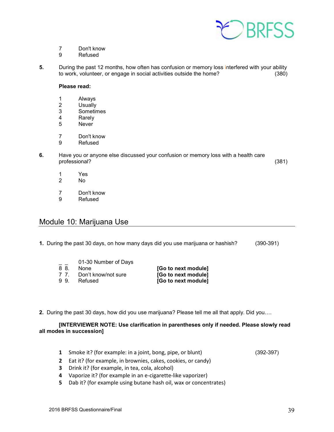

- 7 Don't know
- 9 Refused
- **5.** During the past 12 months, how often has confusion or memory loss interfered with your ability to work, volunteer, or engage in social activities outside the home? (380)

#### **Please read:**

- 1 Always<br>2 Usually
- 2 Usually<br>3 Sometir
- 3 Sometimes<br>4 Rarely
- **Rarely**
- 5 Never
- 7 Don't know
- 9 Refused
- **6.** Have you or anyone else discussed your confusion or memory loss with a health care professional? (381)
	- 1 Yes<br>2 No
	- 2 No
	- 7 Don't know
	- 9 Refused

## Module 10: Marijuana Use

**1.** During the past 30 days, on how many days did you use marijuana or hashish? (390-391)

| $ -$ | 01-30 Number of Days |                     |
|------|----------------------|---------------------|
| 8 8. | <b>None</b>          | [Go to next module] |
| 77   | Don't know/not sure  | [Go to next module] |
| 99   | Refused              | [Go to next module] |

**2.** During the past 30 days, how did you use marijuana? Please tell me all that apply. Did you….

#### **[INTERVIEWER NOTE: Use clarification in parentheses only if needed. Please slowly read all modes in succession]**

- **1** Smoke it? (for example: in a joint, bong, pipe, or blunt) (392-397)
- **2** Eat it? (for example, in brownies, cakes, cookies, or candy)
- **3** Drink it? (for example, in tea, cola, alcohol)
- **4** Vaporize it? (for example in an e-cigarette-like vaporizer)
- **5** Dab it? (for example using butane hash oil, wax or concentrates)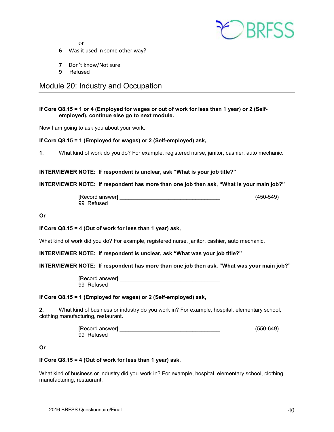

or

- **6** Was it used in some other way?
- **7** Don't know/Not sure
- **9** Refused

## <span id="page-39-0"></span>Module 20: Industry and Occupation

#### **If Core Q8.15 = 1 or 4 (Employed for wages or out of work for less than 1 year) or 2 (Selfemployed), continue else go to next module.**

Now I am going to ask you about your work.

#### **If Core Q8.15 = 1 (Employed for wages) or 2 (Self-employed) ask,**

**1**. What kind of work do you do? For example, registered nurse, janitor, cashier, auto mechanic.

**INTERVIEWER NOTE: If respondent is unclear, ask "What is your job title?"**

#### **INTERVIEWER NOTE: If respondent has more than one job then ask, "What is your main job?"**

| [Record answer] | $(450 - 549)$ |
|-----------------|---------------|
| 99 Refused      |               |

**Or**

#### **If Core Q8.15 = 4 (Out of work for less than 1 year) ask,**

What kind of work did you do? For example, registered nurse, janitor, cashier, auto mechanic.

**INTERVIEWER NOTE: If respondent is unclear, ask "What was your job title?"**

#### **INTERVIEWER NOTE: If respondent has more than one job then ask, "What was your main job?"**

[Record answer] \_\_\_\_\_\_\_\_\_\_\_\_\_\_\_\_\_\_\_\_\_\_\_\_\_\_\_\_\_\_\_\_\_ 99 Refused

#### **If Core Q8.15 = 1 (Employed for wages) or 2 (Self-employed) ask,**

**2.** What kind of business or industry do you work in? For example, hospital, elementary school, clothing manufacturing, restaurant.

| [Record answer] | $(550-649)$ |
|-----------------|-------------|
| 99 Refused      |             |

#### **Or**

#### **If Core Q8.15 = 4 (Out of work for less than 1 year) ask,**

What kind of business or industry did you work in? For example, hospital, elementary school, clothing manufacturing, restaurant.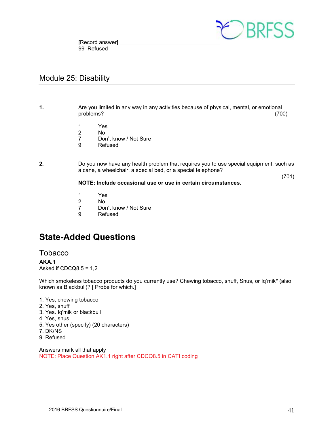

[Record answer] 99 Refused

## <span id="page-40-0"></span>Module 25: Disability

**1.** Are you limited in any way in any activities because of physical, mental, or emotional problems? (700)

- 1 Yes<br>2 No
- 2 No
- 7 Don't know / Not Sure<br>9 Refused
- **Refused**
- **2.** Do you now have any health problem that requires you to use special equipment, such as a cane, a wheelchair, a special bed, or a special telephone?

(701)

#### **NOTE: Include occasional use or use in certain circumstances.**

- 1 Yes<br>2 No
- No.
- 7 Don't know / Not Sure<br>9 Refused
- **Refused**

# <span id="page-40-1"></span>**State-Added Questions**

## <span id="page-40-2"></span>Tobacco

#### **AKA.1**

Asked if CDCQ8.5 = 1,2

Which smokeless tobacco products do you currently use? Chewing tobacco, snuff, Snus, or Iq'mik\* (also known as Blackbull)? [ Probe for which.]

- 1. Yes, chewing tobacco
- 2. Yes, snuff
- 3. Yes. Iq'mik or blackbull
- 4. Yes, snus
- 5. Yes other (specify) (20 characters)
- 7. DK/NS
- 9. Refused

Answers mark all that apply NOTE: Place Question AK1.1 right after CDCQ8.5 in CATI coding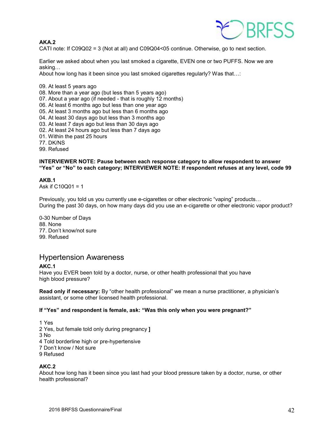

#### **AKA.2**

CATI note: If C09Q02 = 3 (Not at all) and C09Q04<05 continue. Otherwise, go to next section.

Earlier we asked about when you last smoked a cigarette, EVEN one or two PUFFS. Now we are asking…

About how long has it been since you last smoked cigarettes regularly? Was that…:

- 09. At least 5 years ago
- 08. More than a year ago (but less than 5 years ago)
- 07. About a year ago (if needed that is roughly 12 months)
- 06. At least 6 months ago but less than one year ago
- 05. At least 3 months ago but less than 6 months ago
- 04. At least 30 days ago but less than 3 months ago
- 03. At least 7 days ago but less than 30 days ago
- 02. At least 24 hours ago but less than 7 days ago
- 01. Within the past 25 hours
- 77. DK/NS

99. Refused

#### **INTERVIEWER NOTE: Pause between each response category to allow respondent to answer "Yes" or "No" to each category; INTERVIEWER NOTE: If respondent refuses at any level, code 99**

#### **AKB.1**

Ask if C10Q01 = 1

Previously, you told us you currently use e-cigarettes or other electronic "vaping" products… During the past 30 days, on how many days did you use an e-cigarette or other electronic vapor product?

0-30 Number of Days 88. None 77. Don't know/not sure 99. Refused

## <span id="page-41-0"></span>Hypertension Awareness

#### **AKC.1**

Have you EVER been told by a doctor, nurse, or other health professional that you have high blood pressure?

**Read only if necessary:** By "other health professional" we mean a nurse practitioner, a physician's assistant, or some other licensed health professional.

#### **If "Yes" and respondent is female, ask: "Was this only when you were pregnant?"**

1 Yes 2 Yes, but female told only during pregnancy **]**  3 No 4 Told borderline high or pre-hypertensive 7 Don't know / Not sure

9 Refused

#### **AKC.2**

About how long has it been since you last had your blood pressure taken by a doctor, nurse, or other health professional?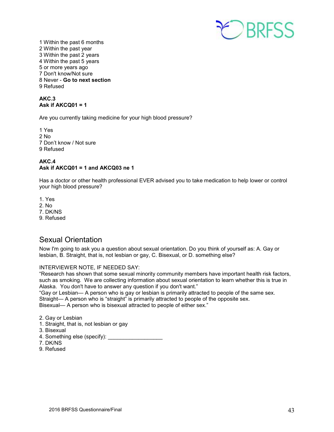

1 Within the past 6 months 2 Within the past year 3 Within the past 2 years 4 Within the past 5 years 5 or more years ago 7 Don't know/Not sure 8 Never - **Go to next section**  9 Refused

#### **AKC.3 Ask if AKCQ01 = 1**

Are you currently taking medicine for your high blood pressure?

1 Yes 2 No 7 Don't know / Not sure 9 Refused

#### **AKC.4 Ask if AKCQ01 = 1 and AKCQ03 ne 1**

Has a doctor or other health professional EVER advised you to take medication to help lower or control your high blood pressure?

- 1. Yes
- 2. No
- 7. DK/NS
- 9. Refused

## <span id="page-42-0"></span>Sexual Orientation

Now I'm going to ask you a question about sexual orientation. Do you think of yourself as: A. Gay or lesbian, B. Straight, that is, not lesbian or gay, C. Bisexual, or D. something else?

#### INTERVIEWER NOTE, IF NEEDED SAY:

"Research has shown that some sexual minority community members have important health risk factors, such as smoking. We are collecting information about sexual orientation to learn whether this is true in Alaska. You don't have to answer any question if you don't want."

"Gay or Lesbian— A person who is gay or lesbian is primarily attracted to people of the same sex.

Straight— A person who is "straight" is primarily attracted to people of the opposite sex.

Bisexual— A person who is bisexual attracted to people of either sex."

- 2. Gay or Lesbian
- 1. Straight, that is, not lesbian or gay
- 3. Bisexual
- 4. Something else (specify): \_\_\_\_\_\_\_\_\_\_\_\_\_\_\_\_\_\_
- 7. DK/NS
- 9. Refused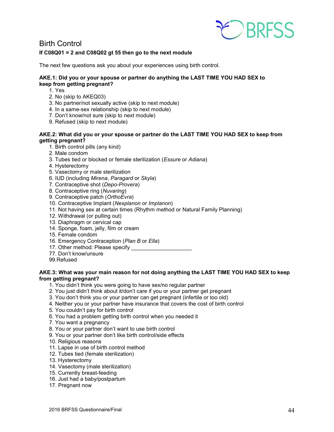

<span id="page-43-0"></span>Birth Control

#### **If C08Q01 = 2 and C08Q02 gt 55 then go to the next module**

The next few questions ask you about your experiences using birth control.

#### **AKE.1: Did you or your spouse or partner do anything the LAST TIME YOU HAD SEX to keep from getting pregnant?**

- 1. Yes
- 2. No (skip to AKEQ03)
- 3. No partner/not sexually active (skip to next module)
- 4. In a same-sex relationship (skip to next module)
- 7. Don't know/not sure (skip to next module)
- 9. Refused (skip to next module)

#### **AKE.2: What did you or your spouse or partner do the LAST TIME YOU HAD SEX to keep from getting pregnant?**

- 1. Birth control pills (any kind)
- 2. Male condom
- 3. Tubes tied or blocked or female sterilization (*Essure* or *Adiana*)
- 4. Hysterectomy
- 5. Vasectomy or male sterilization
- 6. IUD (including *Mirena*, *Paragard* or *Skyla*)
- 7. Contraceptive shot (*Depo-Provera*)
- 8. Contraceptive ring (*Nuvaring*)
- 9. Contraceptive patch (*OrthoEvra*)
- 10. Contraceptive Implant (*Nexplanon* or *Implanon*)
- 11. Not having sex at certain times (Rhythm method or Natural Family Planning)
- 12. Withdrawal (or pulling out)
- 13. Diaphragm or cervical cap
- 14. Sponge, foam, jelly, film or cream
- 15. Female condom
- 16. Emergency Contraception (*Plan B* or *Ella*)
- 17. Other method: Please specify
- 77. Don't know/unsure
- 99.Refused

#### **AKE.3: What was your main reason for not doing anything the LAST TIME YOU HAD SEX to keep from getting pregnant?**

- 1. You didn't think you were going to have sex/no regular partner
- 2. You just didn't think about it/don't care if you or your partner get pregnant
- 3. You don't think you or your partner can get pregnant (infertile or too old)
- 4. Neither you or your partner have insurance that covers the cost of birth control
- 5. You couldn't pay for birth control
- 6. You had a problem getting birth control when you needed it
- 7. You want a pregnancy
- 8. You or your partner don't want to use birth control
- 9. You or your partner don't like birth control/side effects
- 10. Religious reasons
- 11. Lapse in use of birth control method
- 12. Tubes tied (female sterilization)
- 13. Hysterectomy
- 14. Vasectomy (male sterilization)
- 15. Currently breast-feeding
- 16. Just had a baby/postpartum
- 17. Pregnant now